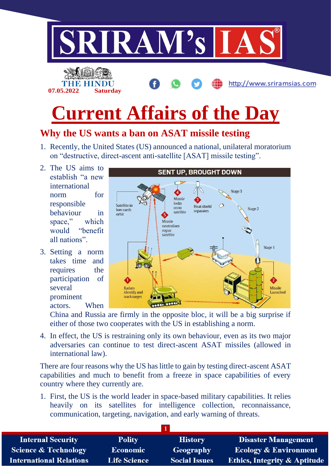

# **Why the US wants a ban on ASAT missile testing**

- 1. Recently, the United States (US) announced a national, unilateral moratorium on "destructive, direct-ascent anti-satellite [ASAT] missile testing".
- 2. The US aims to establish "a new international norm for responsible behaviour in space," which would "benefit all nations".
- 3. Setting a norm takes time and requires the participation of several prominent actors. When



China and Russia are firmly in the opposite bloc, it will be a big surprise if either of those two cooperates with the US in establishing a norm.

4. In effect, the US is restraining only its own behaviour, even as its two major adversaries can continue to test direct-ascent ASAT missiles (allowed in international law).

There are four reasons why the US has little to gain by testing direct-ascent ASAT capabilities and much to benefit from a freeze in space capabilities of every country where they currently are.

1. First, the US is the world leader in space-based military capabilities. It relies heavily on its satellites for intelligence collection, reconnaissance, communication, targeting, navigation, and early warning of threats.

| <b>Internal Security</b>        | <b>Polity</b>       | <b>History</b>       | <b>Disaster Management</b>              |
|---------------------------------|---------------------|----------------------|-----------------------------------------|
| <b>Science &amp; Technology</b> | <b>Economic</b>     | Geography            | <b>Ecology &amp; Environment</b>        |
| <b>International Relations</b>  | <b>Life Science</b> | <b>Social Issues</b> | <b>Ethics, Integrity &amp; Aptitude</b> |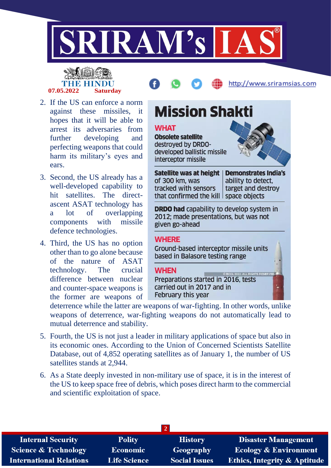

# **07.05.2022 Saturday**



- 2. If the US can enforce a norm against these missiles, it hopes that it will be able to arrest its adversaries from further developing and perfecting weapons that could harm its military's eyes and ears.
- 3. Second, the US already has a well-developed capability to hit satellites. The directascent ASAT technology has a lot of overlapping components with missile defence technologies.
- 4. Third, the US has no option other than to go alone because of the nature of ASAT technology. The crucial difference between nuclear and counter-space weapons is the former are weapons of



**Mission Shakti** 

deterrence while the latter are weapons of war-fighting. In other words, unlike weapons of deterrence, war-fighting weapons do not automatically lead to mutual deterrence and stability.

- 5. Fourth, the US is not just a leader in military applications of space but also in its economic ones. According to the Union of Concerned Scientists Satellite Database, out of 4,852 operating satellites as of January 1, the number of US satellites stands at 2,944.
- 6. As a State deeply invested in non-military use of space, it is in the interest of the US to keep space free of debris, which poses direct harm to the commercial and scientific exploitation of space.

| <b>Internal Security</b>        | <b>Polity</b>       | <b>History</b>       | <b>Disaster Management</b>              |
|---------------------------------|---------------------|----------------------|-----------------------------------------|
| <b>Science &amp; Technology</b> | Economic            | Geography            | <b>Ecology &amp; Environment</b>        |
| <b>International Relations</b>  | <b>Life Science</b> | <b>Social Issues</b> | <b>Ethics, Integrity &amp; Aptitude</b> |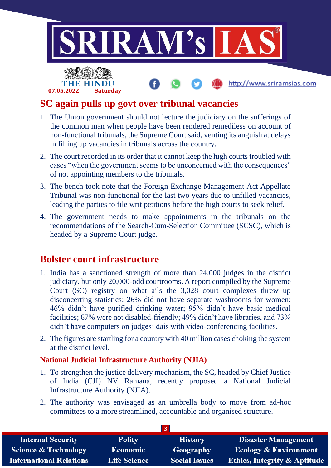

# **SC again pulls up govt over tribunal vacancies**

- 1. The Union government should not lecture the judiciary on the sufferings of the common man when people have been rendered remediless on account of non-functional tribunals, the Supreme Court said, venting its anguish at delays in filling up vacancies in tribunals across the country.
- 2. The court recorded in its order that it cannot keep the high courts troubled with cases "when the government seems to be unconcerned with the consequences" of not appointing members to the tribunals.
- 3. The bench took note that the Foreign Exchange Management Act Appellate Tribunal was non-functional for the last two years due to unfilled vacancies, leading the parties to file writ petitions before the high courts to seek relief.
- 4. The government needs to make appointments in the tribunals on the recommendations of the Search-Cum-Selection Committee (SCSC), which is headed by a Supreme Court judge.

# **Bolster court infrastructure**

**07.05.2022 Saturday**

- 1. India has a sanctioned strength of more than 24,000 judges in the district judiciary, but only 20,000-odd courtrooms. A report compiled by the Supreme Court (SC) registry on what ails the 3,028 court complexes threw up disconcerting statistics: 26% did not have separate washrooms for women; 46% didn't have purified drinking water; 95% didn't have basic medical facilities; 67% were not disabled-friendly; 49% didn't have libraries, and 73% didn't have computers on judges' dais with video-conferencing facilities.
- 2. The figures are startling for a country with 40 million cases choking the system at the district level.

#### **National Judicial Infrastructure Authority (NJIA)**

- 1. To strengthen the justice delivery mechanism, the SC, headed by Chief Justice of India (CJI) NV Ramana, recently proposed a National Judicial Infrastructure Authority (NJIA).
- 2. The authority was envisaged as an umbrella body to move from ad-hoc committees to a more streamlined, accountable and organised structure.

| <b>Internal Security</b>        | <b>Polity</b>       | <b>History</b>       | <b>Disaster Management</b>              |
|---------------------------------|---------------------|----------------------|-----------------------------------------|
| <b>Science &amp; Technology</b> | <b>Economic</b>     | Geography            | <b>Ecology &amp; Environment</b>        |
| <b>International Relations</b>  | <b>Life Science</b> | <b>Social Issues</b> | <b>Ethics, Integrity &amp; Aptitude</b> |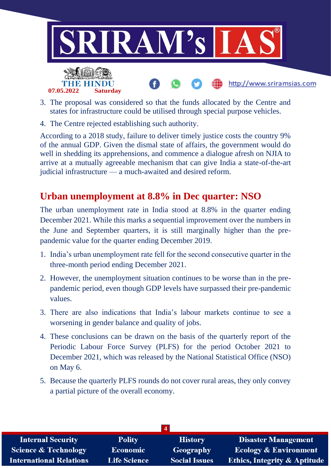

- 3. The proposal was considered so that the funds allocated by the Centre and states for infrastructure could be utilised through special purpose vehicles.
- 4. The Centre rejected establishing such authority.

According to a 2018 study, failure to deliver timely justice costs the country 9% of the annual GDP. Given the dismal state of affairs, the government would do well in shedding its apprehensions, and commence a dialogue afresh on NJIA to arrive at a mutually agreeable mechanism that can give India a state-of-the-art judicial infrastructure — a much-awaited and desired reform.

# **Urban unemployment at 8.8% in Dec quarter: NSO**

The urban unemployment rate in India stood at 8.8% in the quarter ending December 2021. While this marks a sequential improvement over the numbers in the June and September quarters, it is still marginally higher than the prepandemic value for the quarter ending December 2019.

- 1. India's urban unemployment rate fell for the second consecutive quarter in the three-month period ending December 2021.
- 2. However, the unemployment situation continues to be worse than in the prepandemic period, even though GDP levels have surpassed their pre-pandemic values.
- 3. There are also indications that India's labour markets continue to see a worsening in gender balance and quality of jobs.
- 4. These conclusions can be drawn on the basis of the quarterly report of the Periodic Labour Force Survey (PLFS) for the period October 2021 to December 2021, which was released by the National Statistical Office (NSO) on May 6.
- 5. Because the quarterly PLFS rounds do not cover rural areas, they only convey a partial picture of the overall economy.

| <b>Internal Security</b>        | <b>Polity</b>       | <b>History</b>       | <b>Disaster Management</b>              |
|---------------------------------|---------------------|----------------------|-----------------------------------------|
| <b>Science &amp; Technology</b> | Economic            | Geography            | <b>Ecology &amp; Environment</b>        |
| <b>International Relations</b>  | <b>Life Science</b> | <b>Social Issues</b> | <b>Ethics, Integrity &amp; Aptitude</b> |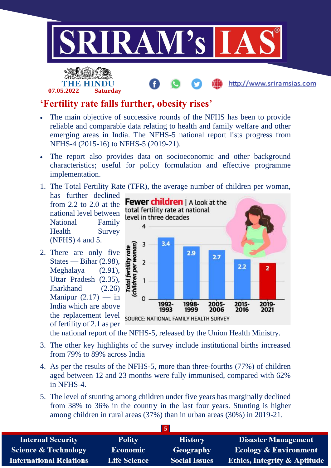



http://www.sriramsias.com

# **'Fertility rate falls further, obesity rises'**

- The main objective of successive rounds of the NFHS has been to provide reliable and comparable data relating to health and family welfare and other emerging areas in India. The NFHS-5 national report lists progress from NFHS-4 (2015-16) to NFHS-5 (2019-21).
- The report also provides data on socioeconomic and other background characteristics; useful for policy formulation and effective programme implementation.
- 1. The Total Fertility Rate (TFR), the average number of children per woman,
- has further declined from 2.2 to 2.0 at the national level between National Family Health Survey (NFHS) 4 and 5.
- 2. There are only five States — Bihar (2.98), Meghalaya (2.91), Uttar Pradesh (2.35), Jharkhand (2.26) Manipur  $(2.17)$  — in India which are above the replacement level of fertility of 2.1 as per



SOURCE: NATIONAL FAMILY HEALTH SURVEY

the national report of the NFHS-5, released by the Union Health Ministry.

- 3. The other key highlights of the survey include institutional births increased from 79% to 89% across India
- 4. As per the results of the NFHS-5, more than three-fourths (77%) of children aged between 12 and 23 months were fully immunised, compared with 62% in NFHS-4.
- 5. The level of stunting among children under five years has marginally declined from 38% to 36% in the country in the last four years. Stunting is higher among children in rural areas (37%) than in urban areas (30%) in 2019-21.

| <b>Internal Security</b>        | <b>Polity</b>       | <b>History</b>       | <b>Disaster Management</b>              |
|---------------------------------|---------------------|----------------------|-----------------------------------------|
| <b>Science &amp; Technology</b> | <b>Economic</b>     | <b>Geography</b>     | <b>Ecology &amp; Environment</b>        |
| <b>International Relations</b>  | <b>Life Science</b> | <b>Social Issues</b> | <b>Ethics, Integrity &amp; Aptitude</b> |